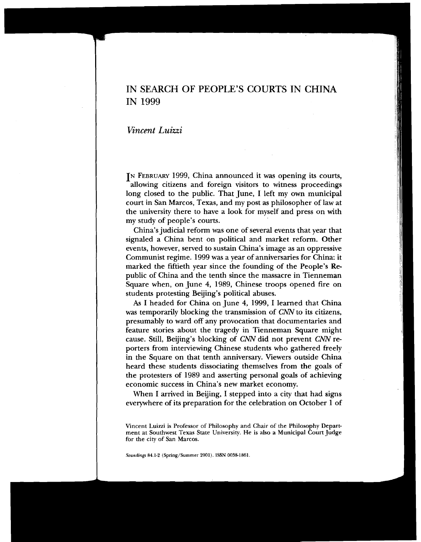# IN SEARCH OF PEOPLE'S COURTS IN CHINA IN 1999

*Vincent Luizzi* 

IN FEBRUARY 1999, China announced it was opening its courts, allowing citizens and foreign visitors to witness proceedings long closed to the public. That June, I left my own municipal court in San Marcos, Texas, and my post as philosopher of law at the university there to have a look for myself and press on with my study of people's courts.

China's judicial reform was one of several events that year that signaled a China bent on political and market reform. Other events, however, served to sustain China's image as an oppressive Communist regime. 1999 was a year of anniversaries for China: it marked the fiftieth year since the founding of the People's Republic of China and the tenth since the massacre in Tienneman Square when, on June 4, 1989, Chinese troops opened fire on students protesting Beijing's political abuses.

1 As I headed for China on June 4, 1999, I learned that China was temporarily blocking the transmission of CNN to its citizens, presumably to ward off any provocation that documentaries and feature stories about the tragedy in Tienneman Square might cause. Still, Beijing's blocking of CNN did not prevent CNN reporters from interviewing Chinese students who gathered freely in the Square on that tenth anniversary. Viewers outside China heard these students dissociating themselves from the goals of the protesters of 1989 and asserting personal goals of achieving economic success in China's new market economy,

I When I arrived in Beijing, I stepped into a city that had signs everywhere of its preparation for the celebration on October 1 of

**Vincent Luizzi is Professor of Philosophy and Chair of the Philosophy Department at Southwest Texas State University. He is also a Municipal Court Judge for the city of San Marcos.**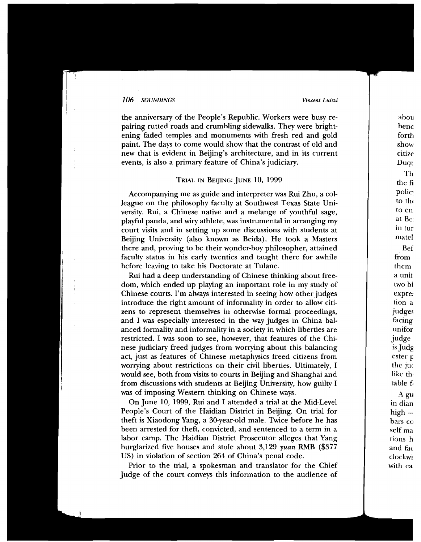the anniversary of the People's Republic. Workers were busy repairing rutted roads and crumbling sidewalks. They were brightening faded temples and monuments with fresh red and gold paint. The days to come would show that the contrast of old and new that is evident in Beijing's architecture, and in its current events, is also a primary feature of China's judiciary.

# TRIAL IN BEIJING: JUNE 10, 1999

Accompanying me as guide and interpreter was Rui Zhu, a colleague on the philosophy faculty at Southwest Texas State University. Rui, a Chinese native and a melange of youthful sage, playful panda, and wiry athlete, was instrumental in arranging  $\overline{m}y$ court visits and in setting up some discussions with students at Beijing University (also known as Beida). He took a Masters there and, proving to be their wonder-boy philosopher, attained faculty status in his early twenties and taught there for awhile before leaving to take his Doctorate at Tulane.

before leaving to take his Doctorate at Tulane.<br>Rui had a deep understanding of Chinese thinking about freedom, which ended up playing an important role in my study of Chinese courts. I'm always interested in seeing how other judges introduce the right amount of informality in order to allow citizens to represent themselves in otherwise formal proceedings, and I was especially interested in the way judges in China balanced formality and informality in a society in which liberties are restricted. I was soon to see, however, that features of the Chinese judiciary freed judges from worrying about this balancing act, just as features of Chinese metaphysics freed citizens from worrying about restrictions on their civil liberties. Ultimately, I would see, both from visits to courts in Beijing and Shanghai and from discussions with students at Beijing University, how guilty I was of imposing Western thinking on Chinese ways.

> On June 10, 1999, Rui and I attended a trial at the Mid-Level People's Court of the Haidian District in Beijing. On trial for theft is Xiaodong Yang, a 30-year-old male. Twice before he has been arrested for theft, convicted, and sentenced to a term in a labor camp. The Haidian District Prosecutor alleges that Yang burglarized five houses and stole about  $3,129$  yuan RMB (\$377 US) in violation of section 264 of China's penal code.

> Prior to the trial, a spokesman and translator for the Chief Judge of the court conveys this information to the audience of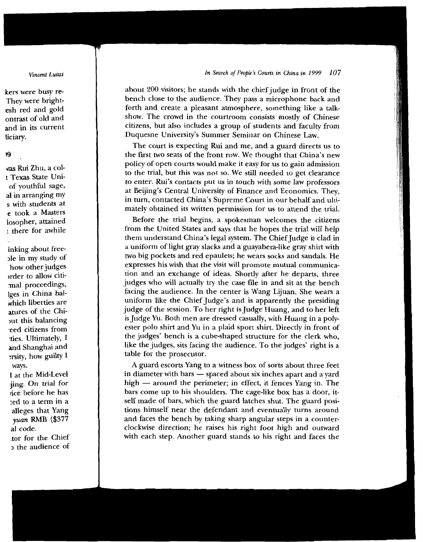about 200 visitors; he stands with the chief judge in front of the bench close to the audience. They pass a microphone back and forth and create a pleasant atmosphere, something like a talkshow. The crowd in the courtroom consists mostly of Chinese citizens, but also includes a group of students and faculty from Duquesne University's Summer Seminar on Chinese Law.

The court is expecting Rui and me, and a guard directs us to the first two seats of the front row. We thought that China's new policy of open courts would make it easy for us to gain admission to the trial, but this was not so. We still needed to get clearance to enter. Rui's contacts put us in touch with some law professors at Beijing's Central University of Finance and Economics. They, in turn, contacted China's Supreme Court in our behalf and ultimately obtained its written permission for us to attend the trial.

Before the trial begins, a spokesman welcomes the citizens from the United States and says that he hopes the trial will help them understand China's legal system. The Chief Judge is clad in a uniform of light gray slacks and a guayabera-like gray shirt with two big pockets and red epaulets; he wears socks and sandals. He expresses his wish that the visit will promote mutual communication and an exchange of ideas. Shortly after he departs, three judges who will actually try the case file in and sit at the bench facing the audience. In the center is Wang Lijuan. She wears a uniform like the Chief Judge's and is apparently the presiding judge of the session. To her right is Judge Huang, and to her left is Judge Yu. Both men are dressed casually, with Huang in a polyester polo shirt and Yu in a plaid sport shirt. Directly in front of the judges' bench is a cube-shaped structure for the clerk who, like the judges, sits facing the audience. To the judges' right is a table for the prosecutor.

A guard escorts Yang to a witness box of sorts about three feet able for the prosecutor.<br>A guard escorts Yang to a witness box of sorts about three feet<br>n diameter with bars — spaced about six inches apart and a yard A guard escorts Yang to a witness box of sorts about three feet<br>in diameter with bars — spaced about six inches apart and a yard<br>high — around the perimeter; in effect, it fences Yang in. The bars come up to his shoulders. The cage-like box has a door, itself made of bars, which the guard latches shut. The guard positions himself near the defendant and eventually turns around and faces the bench by taking sharp angular steps in a counterclockwise direction; he raises his right foot high and outward with each step. Another guard stands to his right and faces the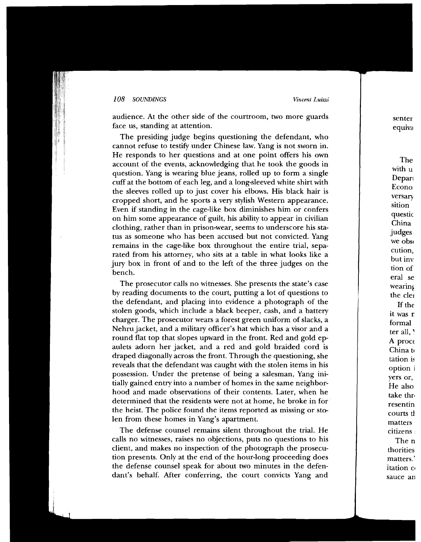audience. At the other side of the courtroom, two more guards face us, standing at attention.

The presiding judge begins questioning the defendant, who cannot refuse to testify under Chinese law. Yang is not sworn in. He responds to her questions and at one point offers his own account of the events, acknowledging that he took the goods in question. Yang is wearing blue jeans, rolled up to form a single cuff at the bottom of each leg, and a long-sleeved white shirt with the sleeves rolled up to just cover his elbows. His black hair is cropped short, and he sports a very stylish Western appearance. Even if standing in the cage-like box diminishes him or confers on him some appearance of guilt, his ability to appear in civilian clothing, rather than in prison-wear, seems to underscore his status as someone who has been accused but not convicted. Yang remains in the cage-like box throughout the entire trial, separated from his attorney, who sits at a table in what looks like a jury box in front of and to the left of the three judges on the

The prosecutor calls no witnesses. She presents the state's case by reading documents to the court, putting a lot of questions to the defendant, and placing into evidence a photograph of the stolen goods, which include a black beeper, cash, and a battery charger. The prosecutor wears a forest green uniform of slacks, a Nehru jacket, and a military officer's hat which has a visor and a round flat top that slopes upward in the front. Red and gold epaulets adorn her jacket, and a red and gold braided cord is draped diagonally across the front. Through the questioning, she reveals that the defendant was caught with the stolen items in his possession. Under the pretense of being a salesman, Yang initially gained entry into a number of homes in the same neighborhood and made observations of their contents. Later, when he determined that the residents were not at home, he broke in for the heist. The police found the items reported as missing or stolen from these homes in Yang's apartment.

The defense counsel remains silent throughout the trial. He calls no witnesses, raises no objections, puts no questions to his client, and makes no inspection of the photograph the prosecution presents. Only at the end of the hour-long proceeding does the defense counsel speak for about two minutes in the defendant's behalf. After conferring, the court convicts Yang and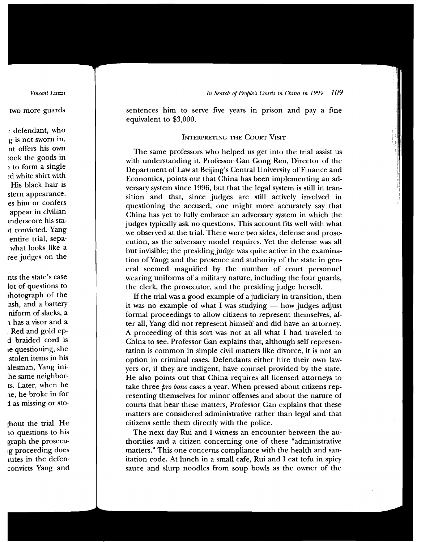sentences him to serve five years in prison and pay a fine equivalent to \$3,000.

# INTERPRETING THE COURT VISIT

The same professors who helped us get into the trial assist us with understanding it. Professor Gan Gong Ren, Director of the Department of Law at Beijing's Central University of Finance and  $\overrightarrow{E}$  Economics, points out that China has been implementing an adversary system since 1996, but that the legal system is still in tran $sition$  and that, since judges are still actively involved in questioning the accused, one might more accurately say that  $\overrightarrow{China}$  has yet to fully embrace an adversary system in which the judges typically ask no questions. This account fits well with what we observed at the trial. There were two sides, defense and prosecution, as the adversary model requires. Yet the defense was all but invisible; the presiding judge was quite active in the examination of Yang; and the presence and authority of the state in general seemed magnified by the number of court personnel wearing uniforms of a military nature, including the four guards, the clerk, the prosecutor, and the presiding judge herself.

If the trial was a good example of a judiciary in transition, then it was no example of what I was studying  $-$  how judges adjust formal proceedings to allow citizens to represent themselves; after all, Yang did not represent himself and did have an attorney. A proceeding of this sort was not at all what I had traveled to China to see. Professor Gan explains that, although self representation is common in simple civil matters like divorce, it is not an option in criminal cases. Defendants either hire their own law- $\frac{1}{x}$  yers or, if they are indigent, have counsel provided by the state. He also points out that China requires all licensed attorneys to take three pro bono cases a year. When pressed about citizens representing themselves for minor offenses and about the nature of courts that hear these matters, Professor Gan explains that these matters are considered administrative rather than legal and that citizens settle them directly with the police.

The next day Rui and I witness an encounter between the authorities and a citizen concerning one of these "administrative" matters." This one concerns compliance with the health and sanitation code. At lunch in a small cafe, Rui and I eat tofu in spicy sauce and slurp noodles from soup bowls as the owner of the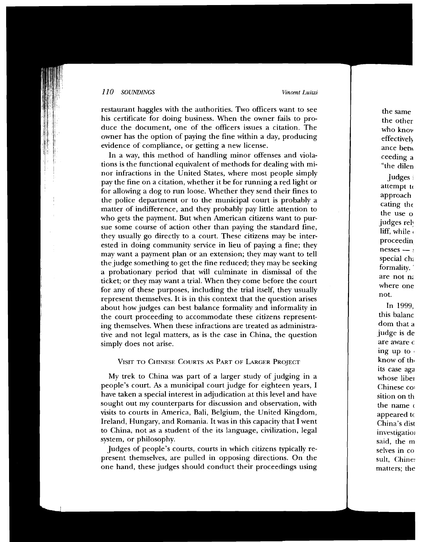restaurant haggles with the authorities. Two officers want to see his certificate for doing business. When the owner fails to produce the document, one of the officers issues a citation. The owner has the option of paying the fine within a day, producing evidence of compliance, or getting a new license.

In a way, this method of handling minor offenses and violations is the functional equivalent of methods for dealing with minor infractions in the United States, where most people simply pay the fine on a citation, whether it be for running a red light or for allowing a dog to run loose. Whether they send their fines to the police department or to the municipal court is probably a matter of indifference, and they probably pay little attention to who gets the payment. But when American citizens want to pursue some course of action other than paying the standard fine, they usually go directly to a court. These citizens may be inter-<br>ested in doing community service in lieu of paying a fine; they they usually go directly to a court. These citizens may be interested in doing community service in lieu of paying a fine; they may want a payment plan or an extension; they may want to tell the judge something to get the fine reduced; they may be seeking a probationary period that will culminate in dismissal of the ticket; or they may want a trial. When they come before the court for any of these purposes, including the trial itself, they usually represent themselves. It is in this context that the question arises about how judges can best balance formality and informality in the court proceeding to accommodate these citizens representing themselves. When these infractions are treated as administrative and not legal matters, as is the case in China, the question simply does not arise.

#### VISIT TO CHINESE COURTS AS PART OF LARGER PROJECT

My trek to China was part of a larger study of judging in a people's court. As a municipal court judge for eighteen years, I have taken a special interest in adjudication at this level and have sought out my counterparts for discussion and observation, with visits to courts in America, Bali, Belgium, the United Kingdom, Ireland, Hungary, and Romania. It was in this capacity that  $\overrightarrow{I}$  went to China, not as a student of the its language, civilization, legal system, or philosophy.

Judges of people's courts, courts in which citizens typically represent themselves, are pulled in opposing directions. On the one hand, these judges should conduct their proceedings using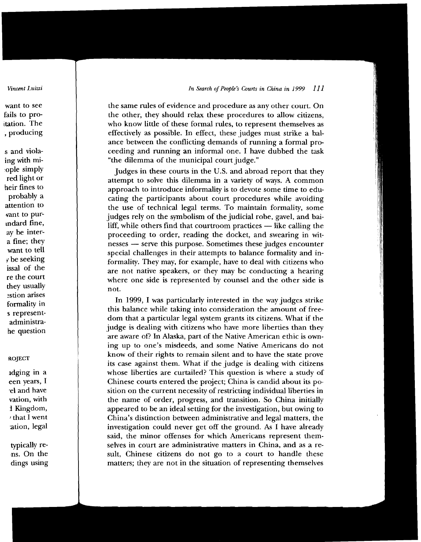the same rules of evidence and procedure as any other court. On the other, they should relax these procedures to allow citizens, who know little of these formal rules, to represent themselves as effectively as possible. In effect, these judges must strike a balance between the conflicting demands of running a formal proceeding and running an informal one. I have dubbed the task "the dilemma of the municipal court judge."

Judges in these courts in the U.S. and abroad report that they attempt to solve this dilemma in a variety of ways. A common approach to introduce informality is to devote some time to edu-<br>cating the participants about court procedures while avoiding the use of technical legal terms. To maintain formality, some the use of technical legal terms. To maintain formality, some<br>judges rely on the symbolism of the judicial robe, gavel, and bai-<br>liff, while others find that courtroom practices — like calling the liff, while others find that courtroom practices  $-$  like calling the proceeding to order, reading the docket, and swearing in witnesses - serve this purpose. Sometimes these judges encounter special challenges in their attempts to balance formality and informality. They may, for example, have to deal with citizens who are not native speakers, or they may be conducting a hearing where one side is represented by counsel and the other side is where one side is represented by counser and the other side is<br>not not.

In 1999, I was particularly interested in the way judges strike this balance while taking into consideration the amount of freedom that a particular legal system grants its citizens. What if the judge is dealing with citizens who have more liberties than they are aware of? In Alaska, part of the Native American ethic is owning up to one's misdeeds, and some Native Americans do not know of their rights to remain silent and to have the state prove its case against them. What if the judge is dealing with citizens whose liberties are curtailed? This question is where a study of Chinese courts entered the project; China is candid about its position on the current necessity of restricting individual liberties in the name of order, progress, and transition. So China initially appeared to be an ideal setting for the investigation, but owing to  $\overrightarrow{China}$ 's distinction between administrative and legal matters, the investigation could never get off the ground. As I have already said, the minor offenses for which Americans represent themselves in court are administrative matters in China, and as a result, Chinese citizens do not go to a court to handle these matters; they are not in the situation of representing themselves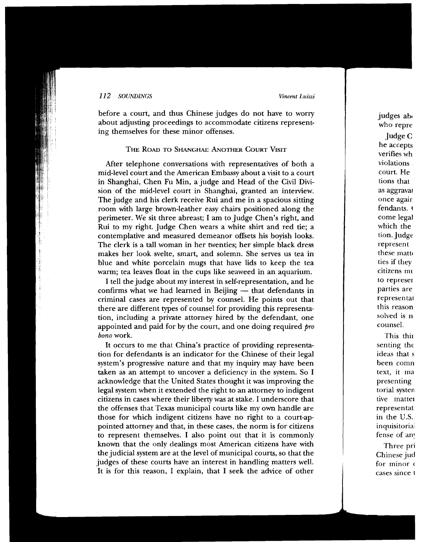before a court, and thus Chinese judges do not have to worry about adjusting proceedings to accommodate citizens representing themselves for these minor offenses.

## THE ROAD TO SHANGHAI: ANOTHER COURT VISIT

After telephone conversations with representatives of both a mid-level court and the American Embassy about a visit to a court in Shanghai, Chen Fu Min, a judge and Head of the Civil Division of the mid-level court in Shanghai, granted an interview. The judge and his clerk receive Rui and me in a spacious sitting room with large brown-leather easy chairs positioned along the perimeter. We sit three abreast; I am to Judge Chen's right, and Rui to my right. Judge Chen wears a white shirt and red tie; a contemplative and measured demeanor offsets his boyish looks. The clerk is a tall woman in her twenties; her simple black dress makes her look svelte, smart, and solemn. She serves us tea in blue and white porcelain mugs that have lids to keep the tea warm; tea leaves float in the cups like seaweed in an aquarium.

I tell the judge about my interest in self-representation, and he confirms what we had learned in Beijing  $-$  that defendants in criminal cases are represented by counsel. He points out that there are different types of counsel for providing this representation, including a private attorney hired by the defendant, one appointed and paid for by the court, and one doing required  $\emph{pro}$  bono work.  $\mathit{bono}$  work.

It occurs to me that China's practice of providing representation for defendants is an indicator for the Chinese of their legal system's progressive nature and that my inquiry may have been taken as an attempt to uncover a deficiency in the system. So I acknowledge that the United States thought it was improving the legal system when it extended the right to an attorney to indigent citizens in cases where their liberty was at stake. I underscore that the offenses that Texas municipal courts like my own handle are those for which indigent citizens have no right to a court-appointed attorney and that, in these cases, the norm is for citizens to represent themselves. I also point out that it is commonly known that the only dealings most American citizens have with the judicial system are at the level of municipal courts, so that the judges of these courts have an interest in handling matters well. It is for this reason, I explain, that I seek the advice of other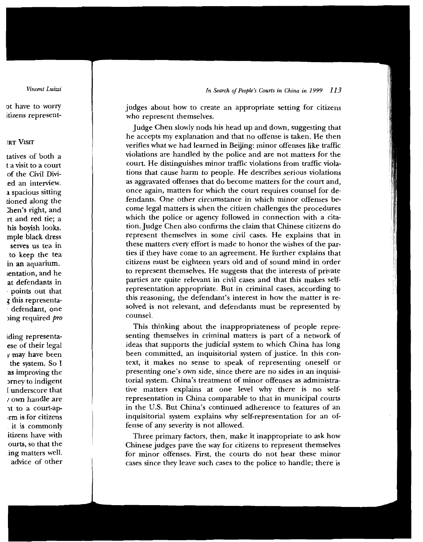judges about how to create an appropriate setting for citizens who represent themselves.

Judge Chen slowly nods his head up and down, suggesting that he accepts my explanation and that no offense is taken. He then verifies what we had learned in Beijing: minor offenses like traffic violations are handled by the police and are not matters for the court. He distinguishes minor traffic violations from traffic violations that cause harm to people. He describes serious violations as aggravated offenses that do become matters for the court and, once again, matters for which the court requires counsel for defendants. One other circumstance in which minor offenses become legal matters is when the citizen challenges the procedures which the police or agency followed in connection with a citation. Judge Chen also confirms the claim that Chinese citizens do represent themselves in some civil cases. He explains that in these matters every effort is made to honor the wishes of the parties if they have come to an agreement. He further explains that citizens must be eighteen years old and of sound mind in order to represent themselves. He suggests that the interests of private parties are quite relevant in civil cases and that this makes selfrepresentation appropriate. But in criminal cases, according to this reasoning, the defendant's interest in how the matter is resolved is not relevant, and defendants must be represented by counsel. counsel.

> This thinking about the inappropriateness of people representing themselves in criminal matters is part of a network of ideas that supports the judicial system to which China has long been committed, an inquisitorial system of justice. In this context, it makes no sense to speak of representing oneself or presenting one's own side, since there are no sides in an inquisitorial system. China's treatment of minor offenses as administrative matters explains at one level why there is no self*representation in China comparable to that in municipal courts* in the U.S. But China's continued adherence to features of an inquisitorial system explains why self-representation for an offense of any severity is not allowed.

> Three primary factors, then, make it inappropriate to ask how Chinese judges pave the way for citizens to represent themselves for minor offenses. First, the courts do not hear these minor cases since they leave such cases to the police to handle; there is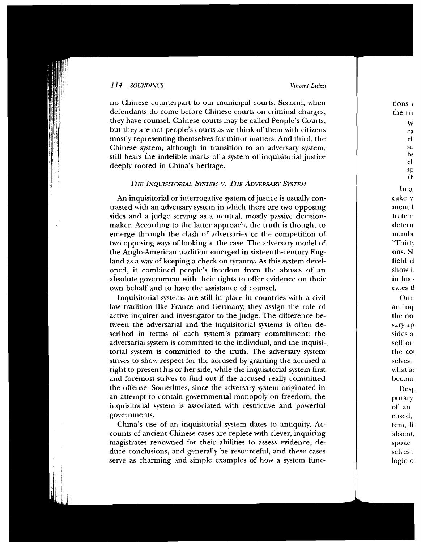no Chinese counterpart to our municipal courts. Second, when defendants do come before Chinese courts on criminal charges, they have counsel. Chinese courts may be called People's courts, but they are not people's courts **as** we think of them with citizens Chinese system, although in transition to an adversary system, still bears the indelible marks of a system of inquisitorial justice deeply rooted in China's heritage.

# THE INOUISITORIAL SYSTEM V. THE ADVERSARY SYSTEM

An inquisitorial or interrogative system of justice is usually contrasted with an adversary system in which there are two opposing sides and a judge serving as a neutral, mostly passive decisionmaker. According to the latter approach, the truth is thought to emerge through the clash of adversaries or the competition of two opposing ways of looking at the case. The adversary model of the Anglo-American tradition emerged in sixteenth-century England as a way of keeping a check on tyranny. As this system developed, it combined people's freedom from the abuses of an absolute government with their rights to offer evidence on their own behalf and to have the assistance of counsel.

Inquisitorial systems are still in place in countries with a civil law tradition like France and Germany; they assign the role of active inquirer and investigator to the judge. The difference between the adversarial and the inquisitorial systems is often described in terms of each system's primary commitment: the adversarial system is committed to the individual, and the inquisitorial system is committed to the truth. The adversary system strives to show respect for the accused by granting the accused a right to present his or her side, while the inquisitorial system first and foremost strives to find out if the accused really committed the offense. Sometimes, since the adversary system originated in an attempt to contain governmental monopoly on freedom, the inquisitorial system is associated with restrictive and powerful governments.

China's use of an inquisitorial system dates to antiquity. Accounts of ancient Chinese cases are replete with clever, inquiring magistrates renowned for their abilities to assess evidence, deduce conclusions, and generally be resourceful, and these cases serve as charming and simple examples of how a system func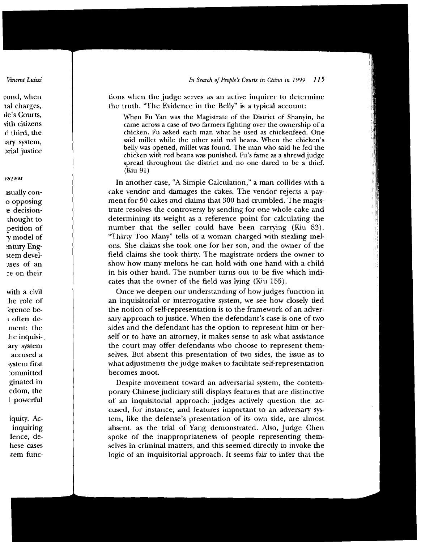tions when the judge serves as an active inquirer to determine the truth. "The Evidence in the Belly" is a typical account:

When Fu Yan was the Magistrate of the District of Shanyin, he came across a case of two farmers fighting over the ownership of a chicken. Fu asked each man what he used as chickenfeed. One said millet while the other said red beans. When the chicken's belly was opened, millet was found. The man who said he fed the chicken with red beans was punished. Fu's fame as a shrewd judge spread throughout the district and no one dared to be a thief.<br>(Kiu 91)

In another case, "A Simple Calculation," a man collides with a cake vendor and damages the cakes. The vendor rejects a payment for 50 cakes and claims that 300 had crumbled. The magistrate resolves the controversy by sending for one whole cake and determining its weight as a reference point for calculating the number that the seller could have been carrying (Kiu 83). "Thirty Too Many" tells of a woman charged with stealing melons. She claims she took one for her son, and the owner of the field claims she took thirty. The magistrate orders the owner to show how many melons he can hold with one hand with a child in his other hand. The number turns out to be five which indicates that the owner of the field was lying (Kiu 155).

Once we deepen our understanding of how judges function in an inquisitorial or interrogative system, we see how closely tied the notion of self-representation is to the framework of an adversary approach to justice. When the defendant's case is one of two sides and the defendant has the option to represent him or herself or to have an attorney, it makes sense to ask what assistance the court may offer defendants who choose to represent themselves. But absent this presentation of two sides, the issue as to what adjustments the judge makes to facilitate self-representation becomes moot.

Despite movement toward an adversarial system, the contemporary Chinese judiciary still displays features that are distinctive of an inquisitorial approach: judges actively question the accused, for instance, and features important to an adversary system, like the defense's presentation of its own side, are almost absent, as the trial of Yang demonstrated. Also, Judge Chen spoke of the inappropriateness of people representing themselves in criminal matters, and this seemed directly to invoke the logic of an inquisitorial approach. It seems fair to infer that the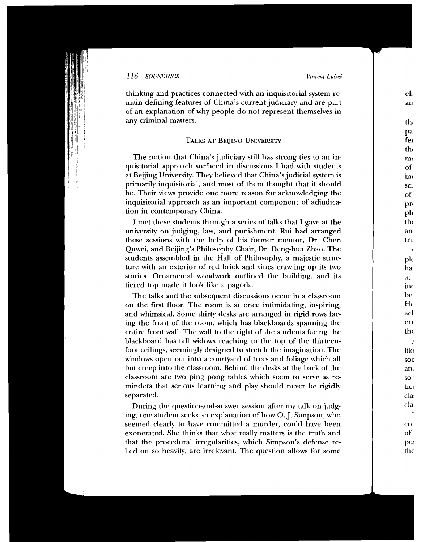thinking and practices connected with an inquisitorial system remain defining features of China's current judiciary and are part of an explanation of why people do not represent themselves in any criminal matters.

# TALKS AT BEIJING UNIVERSITY

The notion that China's judiciary still has strong ties to an inquisitorial approach surfaced in discussions I had with students at Beijing University. They believed that China's judicial system is primarily inquisitorial, and most of them thought that it should be. Their views provide one more reason for acknowledging the inquisitorial approach as an important component of adjudication in contemporary China.

I met these students through a series of talks that I gave at the university on judging, law, and punishment. Rui had arranged these sessions with the help of his former mentor, Dr. Chen Quwei, and Beijing's Philosophy Chair, Dr. Deng-hua Zhao. The students assembled in the Hall of Philosophy, a majestic structure with an exterior of red brick and vines crawling up its two stories. Ornamental woodwork outlined the building, and its tiered top made it look like a pagoda.

The talks and the subsequent discussions occur in a classroom on the first floor. The room is at once intimidating, inspiring, and whimsical. Some thirty desks are arranged in rigid rows facing the front of the room, which has blackboards spanning the entire front wall. The wall to the right of the students facing the blackboard has tall widows reaching to the top of the thirteenfoot ceilings, seemingly designed to stretch the imagination. The windows open out into a courtyard of trees and foliage which all but creep into the classroom. Behind the desks at the back of the classroom are two ping pong tables which seem to serve as reminders that serious learning and play should never be rigidly separated.

During the question-and-answer session after my talk on judging, one student seeks an explanation of how 0. J. Simpson, who seemed clearly to have committed a murder, could have been exonerated. She thinks that what really matters is the truth and that the procedural irregularities, which Simpson's defense relied on so heavily, are irrelevant. The question allows for some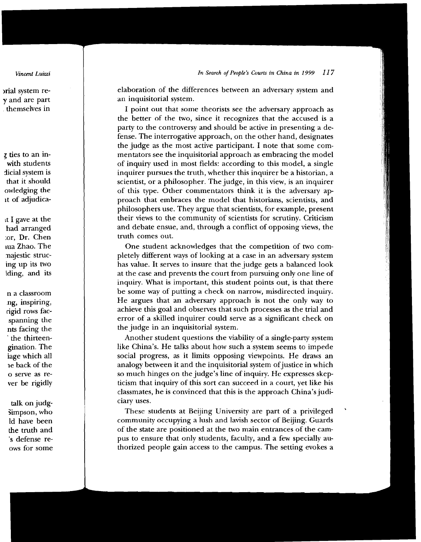elaboration of the differences between an adversary system and an inquisitorial system.

I point out that some theorists see the adversary approach as the better of the two, since it recognizes that the accused is a party to the controversy and should be active in presenting a defense. The interrogative approach, on the other hand, designates the judge as the most active participant. I note that some cornmentators see the inquisitorial approach as embracing the model of inquiry used in most fields: according to this model, a single inquirer pursues the truth, whether this inquirer be a historian, a  $scientist, or a philosopher. The judge, in this view, is an inquirer$ of this type. Other commentators think it is the adversary approach that embraces the model that historians, scientists, and philosophers use. They argue that scientists, for example, present their views to the community of scientists for scrutiny. Criticism and debate ensue, and, through a conflict of opposing views, the truth comes out. truth comes out.

One student acknowledges that the competition of two completely different ways of looking at a case in an adversary system has value. It serves to insure that the judge gets a balanced look at the case and prevents the court from pursuing only one line of inquiry. What is important, this student points out, is that there be some way of putting a check on narrow, misdirected inquiry. He argues that an adversary approach is not the only way to achieve this goal and observes that such processes as the trial and error of a skilled inquirer could serve as a significant check on the judge in an inquisitorial system.

Another student questions the viability of a single-party system like China's. He talks about how such a system seems to impede social progress, as it limits opposing viewpoints. He draws an analogy between it and the inquisitorial system of justice in which so much hinges on the judge's line of inquiry. He expresses skepticism that inquiry of this sort can succeed in a court, yet like his classmates, he is convinced that this is the approach China's judiciary uses.

These students at Beijing University are part of a privileged community occupying a lush and lavish sector of Beijing. Guards of the state are positioned at the two main entrances of the campus to ensure that only students, faculty, and a few specially authorized people gain access to the campus. The setting evokes a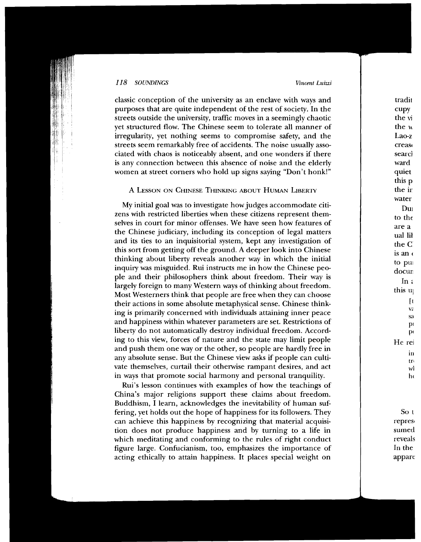classic conception of the university as an enclave with ways and purposes that are quite independent of the rest of society. In the streets outside the university, traffic moves in a seemingly chaotic yet structured flow. The Chinese seem to tolerate all manner of irregularity, yet nothing seems to compromise safety, and the streets seem remarkably free of accidents. The noise usually associated with chaos is noticeably absent, and one wonders if there is any connection between this absence of noise and the elderly women at street corners who hold up signs saying "Don't honk!"

### A LESSON ON CHINESE THINKING ABOUT HUMAN LIBERTY

My initial goal was to investigate how judges accommodate citizens with restricted liberties when these citizens represent themselves in court for minor offenses. We have seen how features of the Chinese judiciary, including its conception of legal matters and its ties to an inquisitorial system, kept any investigation of this sort from getting off the ground. A deeper look into Chinese thinking about liberty reveals another way in which the initial inquiry was misguided. Rui instructs me in how the Chinese people and their philosophers think about freedom. Their way is largely foreign to many Western ways of thinking about freedom. Most Westerners think that people are free when they can choose their actions in some absolute metaphysical sense. Chinese thinkand happiness within whatever parameters are set. Restrictions of liberty do not automatically destroy individual freedom. According to this view, forces of nature and the state may limit people and push them one way or the other, so people are hardly free in any absolute sense. But the Chinese view asks if people can cultivate themselves, curtail their otherwise rampant desires, and act in ways that promote social harmony and personal tranquility.

Rui's lesson continues with examples of how the teachings of China's major religions support these claims about freedom. Buddhism, I learn, acknowledges the inevitability of human suffering, yet holds out the hope of happiness for its followers. They can achieve this happiness by recognizing that material acquisition does not produce happiness and by turning to a life in which meditating and conforming to the rules of right conduct figure large. Confucianism, too, emphasizes the importance of acting ethically to attain happiness. It places special weight on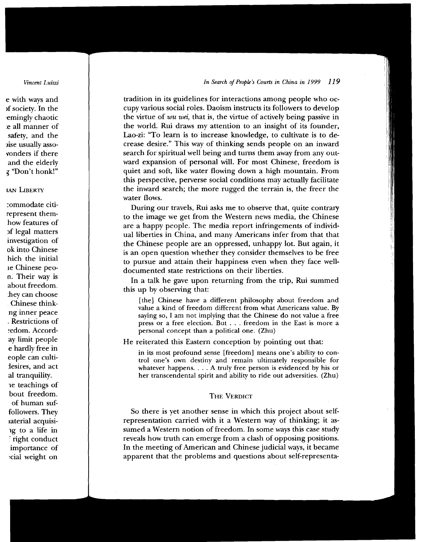tradition in its guidelines for interactions among people who occupy various social roles. Daoism instructs its followers to develop the virtue of *wu wei*, that is, the virtue of actively being passive in the world. Rui draws my attention to an insight of its founder, Lao-zi: "To learn is to increase knowledge, to cultivate is to decrease desire." This way of thinking sends people on an inward search for spiritual well being and turns them away from any outward expansion of personal will. For most Chinese, freedom is quiet and soft, like water flowing down a high mountain. From this perspective, perverse social conditions may actually facilitate the inward search; the more rugged the terrain is, the freer the water flows.

During our travels, Rui asks me to observe that, quite contrary to the image we get from the Western news media, the Chinese are a happy people. The media report infringements of individual liberties in China, and many Americans infer from that that the Chinese people are an oppressed, unhappy lot. But again, it is an open question whether they consider themselves to be free to pursue and attain their happiness even when they face welldocumented state restrictions on their liberties.

In a talk he gave upon returning from the trip, Rui summed this up by observing that:

[the] Chinese have a different philosophy about freedom and value a kind of freedom different from what Americans value. By saying so, I am not implying that the Chinese do not value a free press or a free election. But . . . freedom in the East is more a personal concept than a political one. (Zhu)

He reiterated this Eastern conception by pointing out that:

in its most profound sense [freedom] means one's ability to control one's own destiny and remain ultimately responsible for whatever happens. . . . A truly free person is evidenced by his or her transcendental spirit and ability to ride out adversities. (Zhu)

# **THE VERDICT**

So there is yet another sense in which this project about selfrepresentation carried with it a Western way of thinking; it assumed a Western notion of freedom. In some ways this case study reveals how truth can emerge from a clash of opposing positions. In the meeting of American and Chinese judicial ways, it became apparent that the problems and questions about self-representa